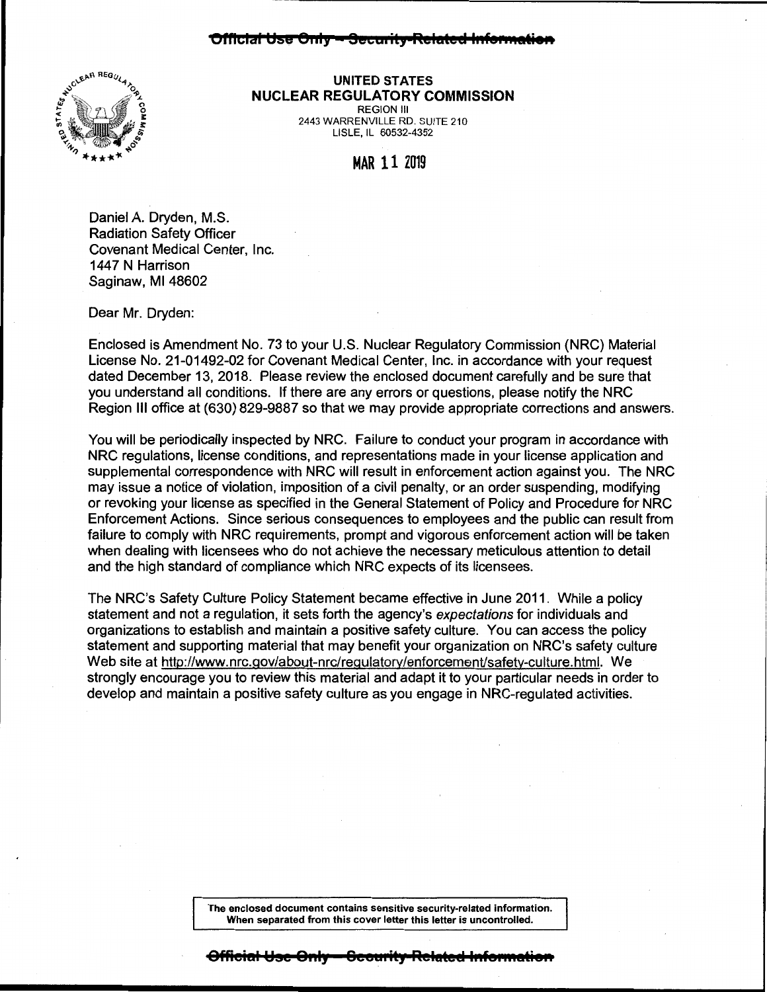

**UNITED STATES NUCLEAR REGULATORY COMMISSION REGION III** 

2443 WARRENVILLE RD. SUITE 210 LISLE, IL 60532-4352

**MAR 11 2019** 

Daniel A. Dryden, M.S. **Radiation Safety Officer** Covenant Medical Center, Inc. 1447 N Harrison Saginaw, MI 48602

Dear Mr. Dryden:

Enclosed is Amendment No. 73 to your U.S. Nuclear Regulatory Commission (NRC) Material License No. 21-01492-02 for Covenant Medical Center, Inc. in accordance with your request dated December 13, 2018. Please review the enclosed document carefully and be sure that you understand all conditions. If there are any errors or questions, please notify the NRC Region III office at (630) 829-9887 so that we may provide appropriate corrections and answers.

You will be periodically inspected by NRC. Failure to conduct your program in accordance with NRC regulations, license conditions, and representations made in your license application and supplemental correspondence with NRC will result in enforcement action against you. The NRC may issue a notice of violation, imposition of a civil penalty, or an order suspending, modifying or revoking your license as specified in the General Statement of Policy and Procedure for NRC Enforcement Actions. Since serious consequences to employees and the public can result from failure to comply with NRC requirements, prompt and vigorous enforcement action will be taken when dealing with licensees who do not achieve the necessary meticulous attention to detail and the high standard of compliance which NRC expects of its licensees.

The NRC's Safety Culture Policy Statement became effective in June 2011. While a policy statement and not a requlation, it sets forth the agency's expectations for individuals and organizations to establish and maintain a positive safety culture. You can access the policy statement and supporting material that may benefit your organization on NRC's safety culture Web site at http://www.nrc.gov/about-nrc/regulatory/enforcement/safety-culture.html. We strongly encourage you to review this material and adapt it to your particular needs in order to develop and maintain a positive safety culture as you engage in NRC-regulated activities.

> The enclosed document contains sensitive security-related information. When separated from this cover letter this letter is uncontrolled.

i<del>cial Use Only</del>

<del>Security-Related Info</del>